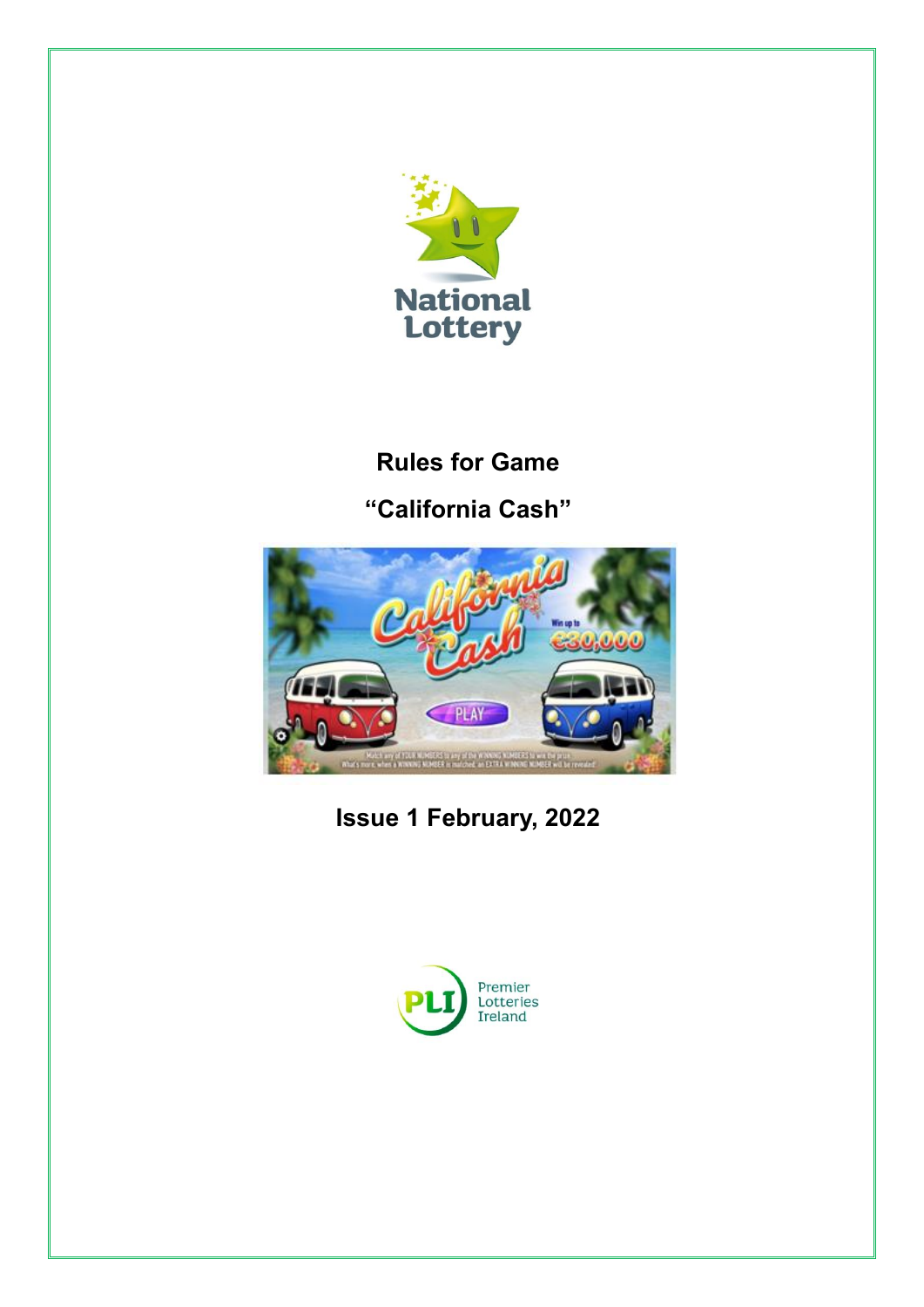

# **Rules for Game "California Cash"**



# **Issue 1 February, 2022**

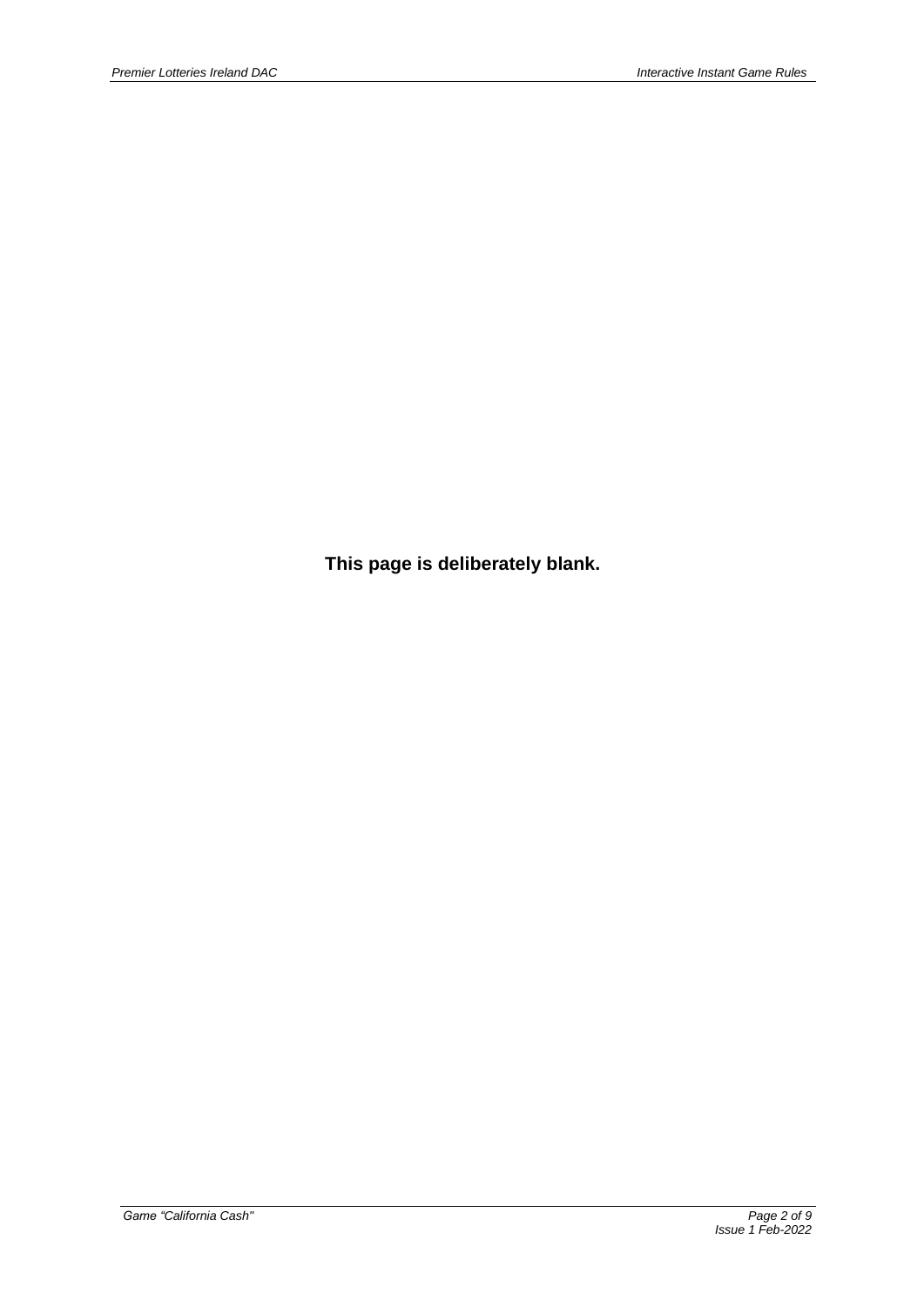**This page is deliberately blank.**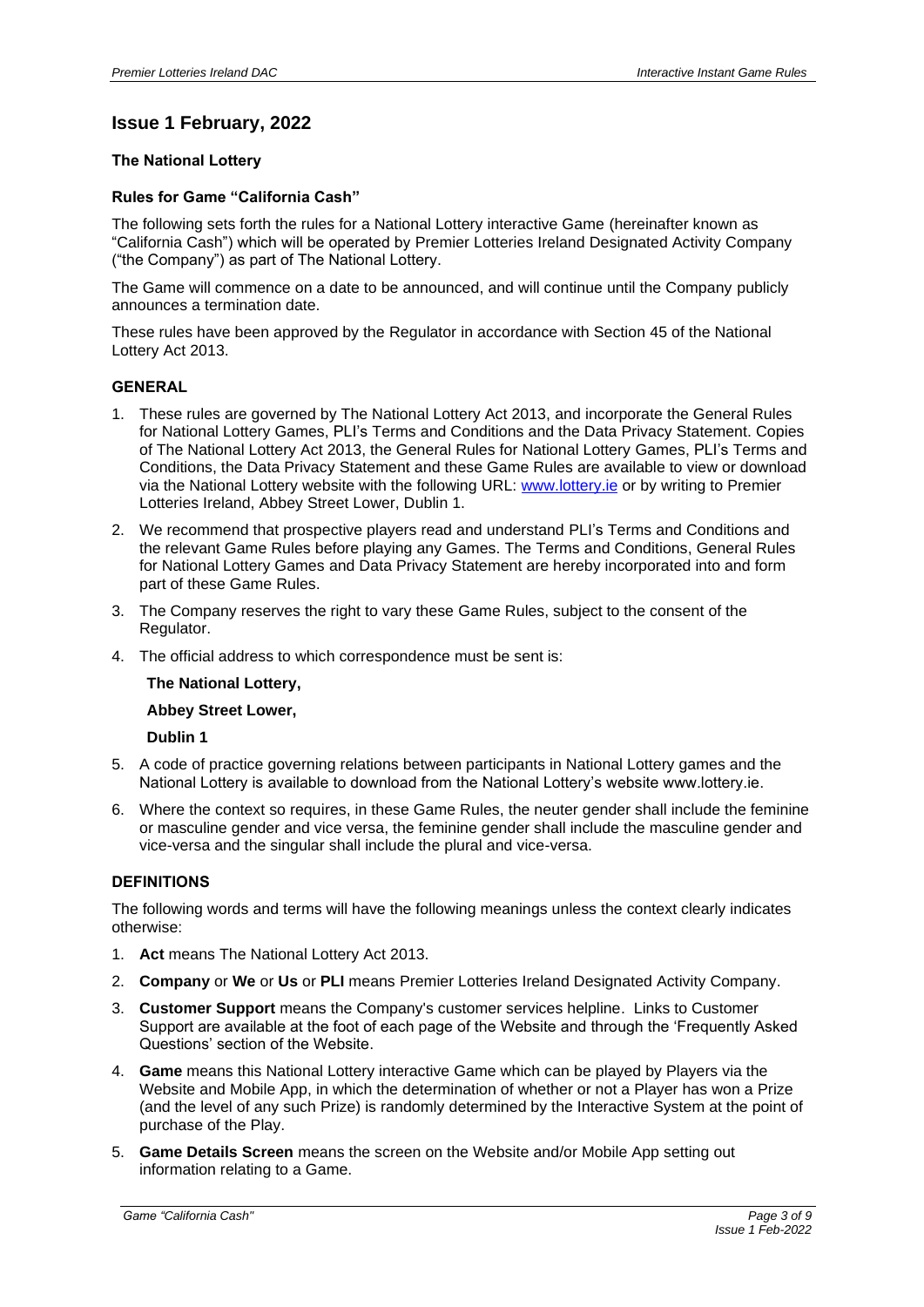# **Issue 1 February, 2022**

# **The National Lottery**

# **Rules for Game "California Cash"**

The following sets forth the rules for a National Lottery interactive Game (hereinafter known as "California Cash") which will be operated by Premier Lotteries Ireland Designated Activity Company ("the Company") as part of The National Lottery.

The Game will commence on a date to be announced, and will continue until the Company publicly announces a termination date.

These rules have been approved by the Regulator in accordance with Section 45 of the National Lottery Act 2013.

# **GENERAL**

- 1. These rules are governed by The National Lottery Act 2013, and incorporate the General Rules for National Lottery Games, PLI's Terms and Conditions and the Data Privacy Statement. Copies of The National Lottery Act 2013, the General Rules for National Lottery Games, PLI's Terms and Conditions, the Data Privacy Statement and these Game Rules are available to view or download via the National Lottery website with the following URL: [www.lottery.ie](http://www.lotto.ie/) or by writing to Premier Lotteries Ireland, Abbey Street Lower, Dublin 1.
- 2. We recommend that prospective players read and understand PLI's Terms and Conditions and the relevant Game Rules before playing any Games. The Terms and Conditions, General Rules for National Lottery Games and Data Privacy Statement are hereby incorporated into and form part of these Game Rules.
- 3. The Company reserves the right to vary these Game Rules, subject to the consent of the Regulator.
- 4. The official address to which correspondence must be sent is:

# **The National Lottery,**

# **Abbey Street Lower,**

**Dublin 1**

- 5. A code of practice governing relations between participants in National Lottery games and the National Lottery is available to download from the National Lottery's website www.lottery.ie.
- 6. Where the context so requires, in these Game Rules, the neuter gender shall include the feminine or masculine gender and vice versa, the feminine gender shall include the masculine gender and vice-versa and the singular shall include the plural and vice-versa.

# **DEFINITIONS**

The following words and terms will have the following meanings unless the context clearly indicates otherwise:

- 1. **Act** means The National Lottery Act 2013.
- 2. **Company** or **We** or **Us** or **PLI** means Premier Lotteries Ireland Designated Activity Company.
- 3. **Customer Support** means the Company's customer services helpline. Links to Customer Support are available at the foot of each page of the Website and through the 'Frequently Asked Questions' section of the Website.
- 4. **Game** means this National Lottery interactive Game which can be played by Players via the Website and Mobile App, in which the determination of whether or not a Player has won a Prize (and the level of any such Prize) is randomly determined by the Interactive System at the point of purchase of the Play.
- 5. **Game Details Screen** means the screen on the Website and/or Mobile App setting out information relating to a Game.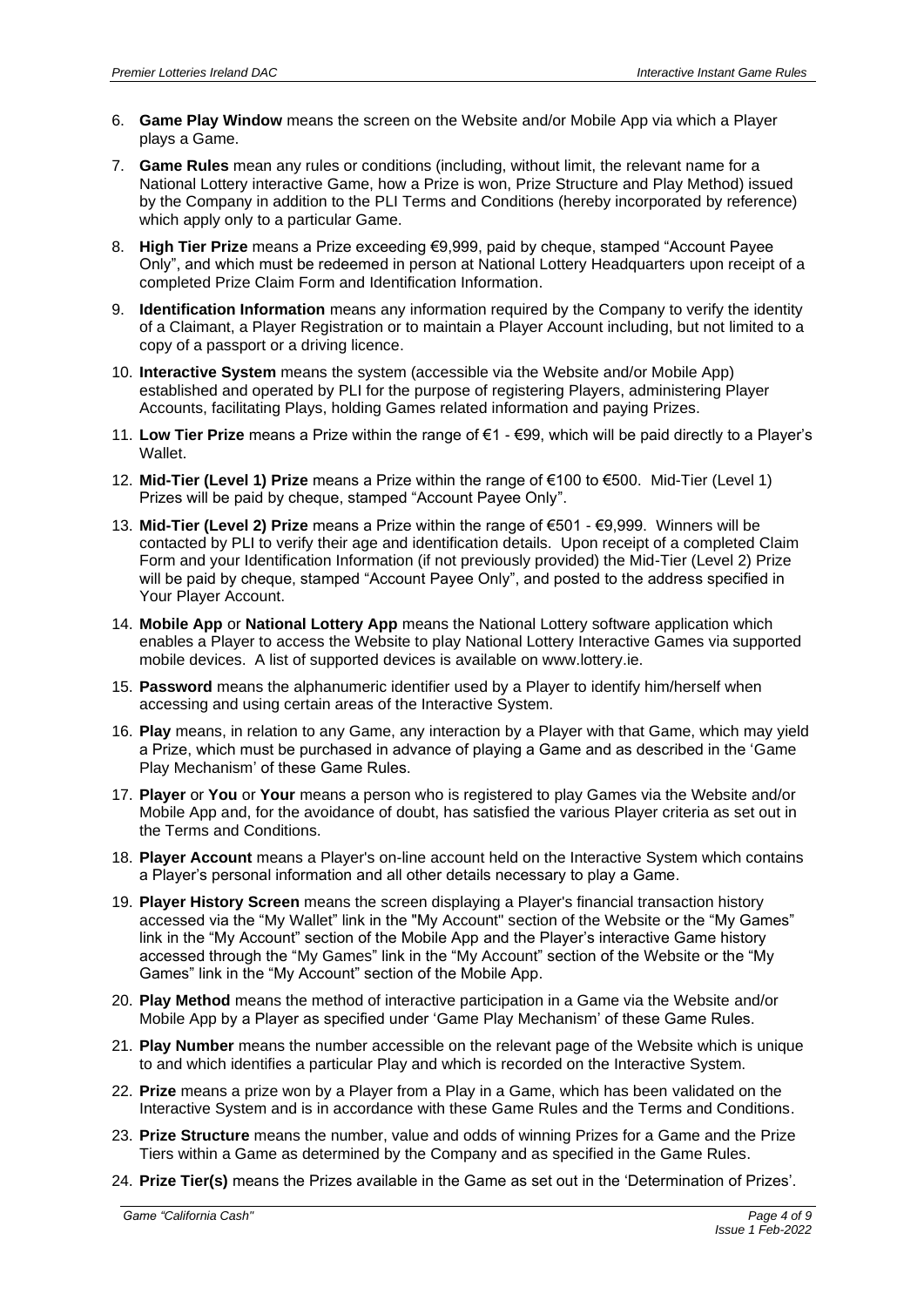- 6. **Game Play Window** means the screen on the Website and/or Mobile App via which a Player plays a Game.
- 7. **Game Rules** mean any rules or conditions (including, without limit, the relevant name for a National Lottery interactive Game, how a Prize is won, Prize Structure and Play Method) issued by the Company in addition to the PLI Terms and Conditions (hereby incorporated by reference) which apply only to a particular Game.
- 8. **High Tier Prize** means a Prize exceeding €9,999, paid by cheque, stamped "Account Payee Only", and which must be redeemed in person at National Lottery Headquarters upon receipt of a completed Prize Claim Form and Identification Information.
- 9. **Identification Information** means any information required by the Company to verify the identity of a Claimant, a Player Registration or to maintain a Player Account including, but not limited to a copy of a passport or a driving licence.
- 10. **Interactive System** means the system (accessible via the Website and/or Mobile App) established and operated by PLI for the purpose of registering Players, administering Player Accounts, facilitating Plays, holding Games related information and paying Prizes.
- 11. **Low Tier Prize** means a Prize within the range of €1 €99, which will be paid directly to a Player's Wallet.
- 12. **Mid-Tier (Level 1) Prize** means a Prize within the range of €100 to €500. Mid-Tier (Level 1) Prizes will be paid by cheque, stamped "Account Payee Only".
- 13. **Mid-Tier (Level 2) Prize** means a Prize within the range of €501 €9,999. Winners will be contacted by PLI to verify their age and identification details. Upon receipt of a completed Claim Form and your Identification Information (if not previously provided) the Mid-Tier (Level 2) Prize will be paid by cheque, stamped "Account Payee Only", and posted to the address specified in Your Player Account.
- 14. **Mobile App** or **National Lottery App** means the National Lottery software application which enables a Player to access the Website to play National Lottery Interactive Games via supported mobile devices. A list of supported devices is available on www.lottery.ie.
- 15. **Password** means the alphanumeric identifier used by a Player to identify him/herself when accessing and using certain areas of the Interactive System.
- 16. **Play** means, in relation to any Game, any interaction by a Player with that Game, which may yield a Prize, which must be purchased in advance of playing a Game and as described in the 'Game Play Mechanism' of these Game Rules.
- 17. **Player** or **You** or **Your** means a person who is registered to play Games via the Website and/or Mobile App and, for the avoidance of doubt, has satisfied the various Player criteria as set out in the Terms and Conditions.
- 18. **Player Account** means a Player's on-line account held on the Interactive System which contains a Player's personal information and all other details necessary to play a Game.
- 19. **Player History Screen** means the screen displaying a Player's financial transaction history accessed via the "My Wallet" link in the "My Account" section of the Website or the "My Games" link in the "My Account" section of the Mobile App and the Player's interactive Game history accessed through the "My Games" link in the "My Account" section of the Website or the "My Games" link in the "My Account" section of the Mobile App.
- 20. **Play Method** means the method of interactive participation in a Game via the Website and/or Mobile App by a Player as specified under 'Game Play Mechanism' of these Game Rules.
- 21. **Play Number** means the number accessible on the relevant page of the Website which is unique to and which identifies a particular Play and which is recorded on the Interactive System.
- 22. **Prize** means a prize won by a Player from a Play in a Game, which has been validated on the Interactive System and is in accordance with these Game Rules and the Terms and Conditions.
- 23. **Prize Structure** means the number, value and odds of winning Prizes for a Game and the Prize Tiers within a Game as determined by the Company and as specified in the Game Rules.
- 24. **Prize Tier(s)** means the Prizes available in the Game as set out in the 'Determination of Prizes'.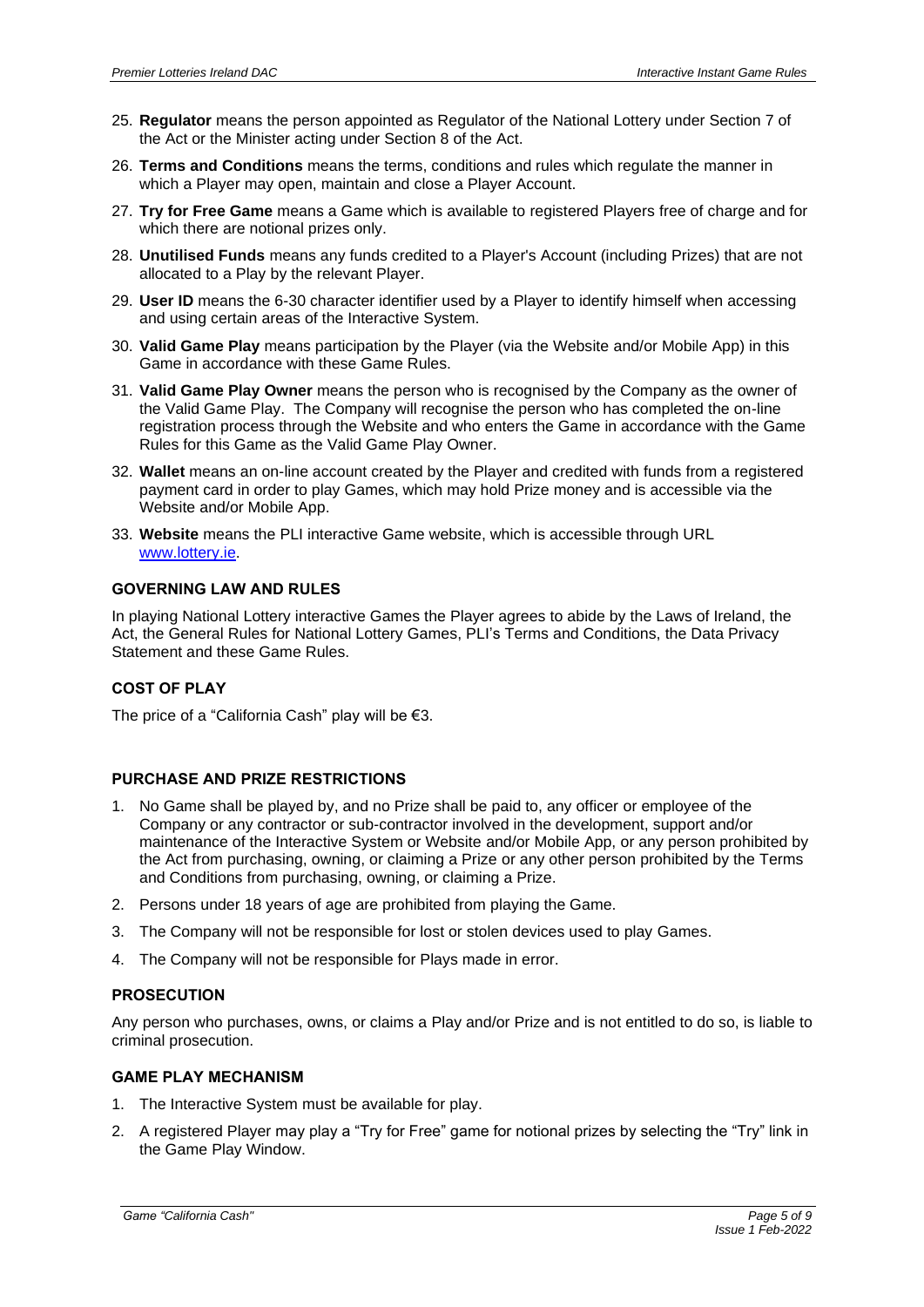- 25. **Regulator** means the person appointed as Regulator of the National Lottery under Section 7 of the Act or the Minister acting under Section 8 of the Act.
- 26. **Terms and Conditions** means the terms, conditions and rules which regulate the manner in which a Player may open, maintain and close a Player Account.
- 27. **Try for Free Game** means a Game which is available to registered Players free of charge and for which there are notional prizes only.
- 28. **Unutilised Funds** means any funds credited to a Player's Account (including Prizes) that are not allocated to a Play by the relevant Player.
- 29. **User ID** means the 6-30 character identifier used by a Player to identify himself when accessing and using certain areas of the Interactive System.
- 30. **Valid Game Play** means participation by the Player (via the Website and/or Mobile App) in this Game in accordance with these Game Rules.
- 31. **Valid Game Play Owner** means the person who is recognised by the Company as the owner of the Valid Game Play. The Company will recognise the person who has completed the on-line registration process through the Website and who enters the Game in accordance with the Game Rules for this Game as the Valid Game Play Owner.
- 32. **Wallet** means an on-line account created by the Player and credited with funds from a registered payment card in order to play Games, which may hold Prize money and is accessible via the Website and/or Mobile App.
- 33. **Website** means the PLI interactive Game website, which is accessible through URL www.lottery.ie.

# **GOVERNING LAW AND RULES**

In playing National Lottery interactive Games the Player agrees to abide by the Laws of Ireland, the Act, the General Rules for National Lottery Games, PLI's Terms and Conditions, the Data Privacy Statement and these Game Rules.

# **COST OF PLAY**

The price of a "California Cash" play will be  $€3$ .

# **PURCHASE AND PRIZE RESTRICTIONS**

- 1. No Game shall be played by, and no Prize shall be paid to, any officer or employee of the Company or any contractor or sub-contractor involved in the development, support and/or maintenance of the Interactive System or Website and/or Mobile App, or any person prohibited by the Act from purchasing, owning, or claiming a Prize or any other person prohibited by the Terms and Conditions from purchasing, owning, or claiming a Prize.
- 2. Persons under 18 years of age are prohibited from playing the Game.
- 3. The Company will not be responsible for lost or stolen devices used to play Games.
- 4. The Company will not be responsible for Plays made in error.

# **PROSECUTION**

Any person who purchases, owns, or claims a Play and/or Prize and is not entitled to do so, is liable to criminal prosecution.

### **GAME PLAY MECHANISM**

- 1. The Interactive System must be available for play.
- 2. A registered Player may play a "Try for Free" game for notional prizes by selecting the "Try" link in the Game Play Window.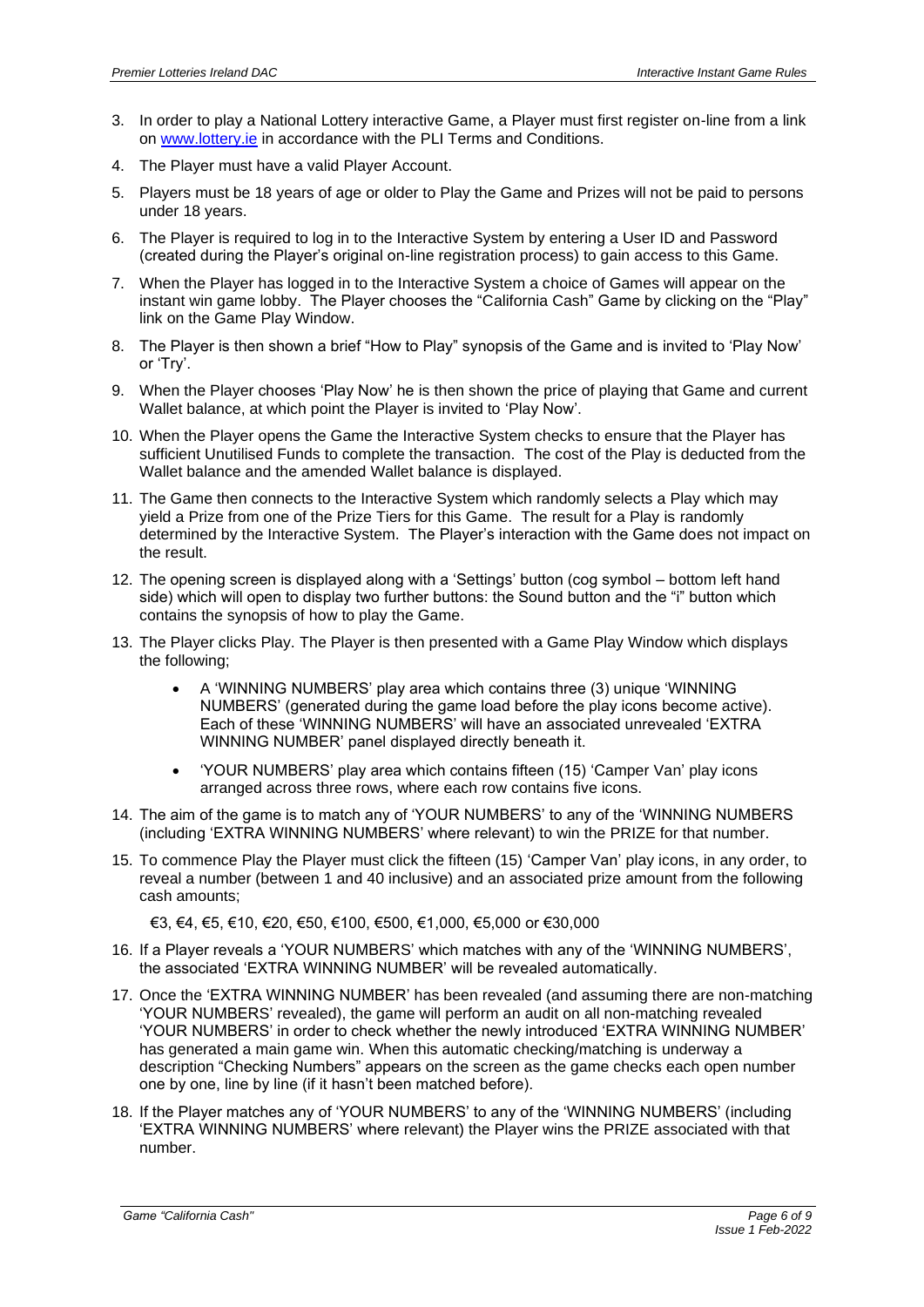- 3. In order to play a National Lottery interactive Game, a Player must first register on-line from a link on [www.lottery.ie](http://www.lotto.ie/) in accordance with the PLI Terms and Conditions.
- 4. The Player must have a valid Player Account.
- 5. Players must be 18 years of age or older to Play the Game and Prizes will not be paid to persons under 18 years.
- 6. The Player is required to log in to the Interactive System by entering a User ID and Password (created during the Player's original on-line registration process) to gain access to this Game.
- 7. When the Player has logged in to the Interactive System a choice of Games will appear on the instant win game lobby. The Player chooses the "California Cash" Game by clicking on the "Play" link on the Game Play Window.
- 8. The Player is then shown a brief "How to Play" synopsis of the Game and is invited to 'Play Now' or 'Try'.
- 9. When the Player chooses 'Play Now' he is then shown the price of playing that Game and current Wallet balance, at which point the Player is invited to 'Play Now'.
- 10. When the Player opens the Game the Interactive System checks to ensure that the Player has sufficient Unutilised Funds to complete the transaction. The cost of the Play is deducted from the Wallet balance and the amended Wallet balance is displayed.
- 11. The Game then connects to the Interactive System which randomly selects a Play which may yield a Prize from one of the Prize Tiers for this Game. The result for a Play is randomly determined by the Interactive System. The Player's interaction with the Game does not impact on the result.
- 12. The opening screen is displayed along with a 'Settings' button (cog symbol bottom left hand side) which will open to display two further buttons: the Sound button and the "i" button which contains the synopsis of how to play the Game.
- 13. The Player clicks Play. The Player is then presented with a Game Play Window which displays the following;
	- A 'WINNING NUMBERS' play area which contains three (3) unique 'WINNING NUMBERS' (generated during the game load before the play icons become active). Each of these 'WINNING NUMBERS' will have an associated unrevealed 'EXTRA WINNING NUMBER' panel displayed directly beneath it.
	- 'YOUR NUMBERS' play area which contains fifteen (15) 'Camper Van' play icons arranged across three rows, where each row contains five icons.
- 14. The aim of the game is to match any of 'YOUR NUMBERS' to any of the 'WINNING NUMBERS (including 'EXTRA WINNING NUMBERS' where relevant) to win the PRIZE for that number.
- 15. To commence Play the Player must click the fifteen (15) 'Camper Van' play icons, in any order, to reveal a number (between 1 and 40 inclusive) and an associated prize amount from the following cash amounts;
	- €3, €4, €5, €10, €20, €50, €100, €500, €1,000, €5,000 or €30,000
- 16. If a Player reveals a 'YOUR NUMBERS' which matches with any of the 'WINNING NUMBERS', the associated 'EXTRA WINNING NUMBER' will be revealed automatically.
- 17. Once the 'EXTRA WINNING NUMBER' has been revealed (and assuming there are non-matching 'YOUR NUMBERS' revealed), the game will perform an audit on all non-matching revealed 'YOUR NUMBERS' in order to check whether the newly introduced 'EXTRA WINNING NUMBER' has generated a main game win. When this automatic checking/matching is underway a description "Checking Numbers" appears on the screen as the game checks each open number one by one, line by line (if it hasn't been matched before).
- 18. If the Player matches any of 'YOUR NUMBERS' to any of the 'WINNING NUMBERS' (including 'EXTRA WINNING NUMBERS' where relevant) the Player wins the PRIZE associated with that number.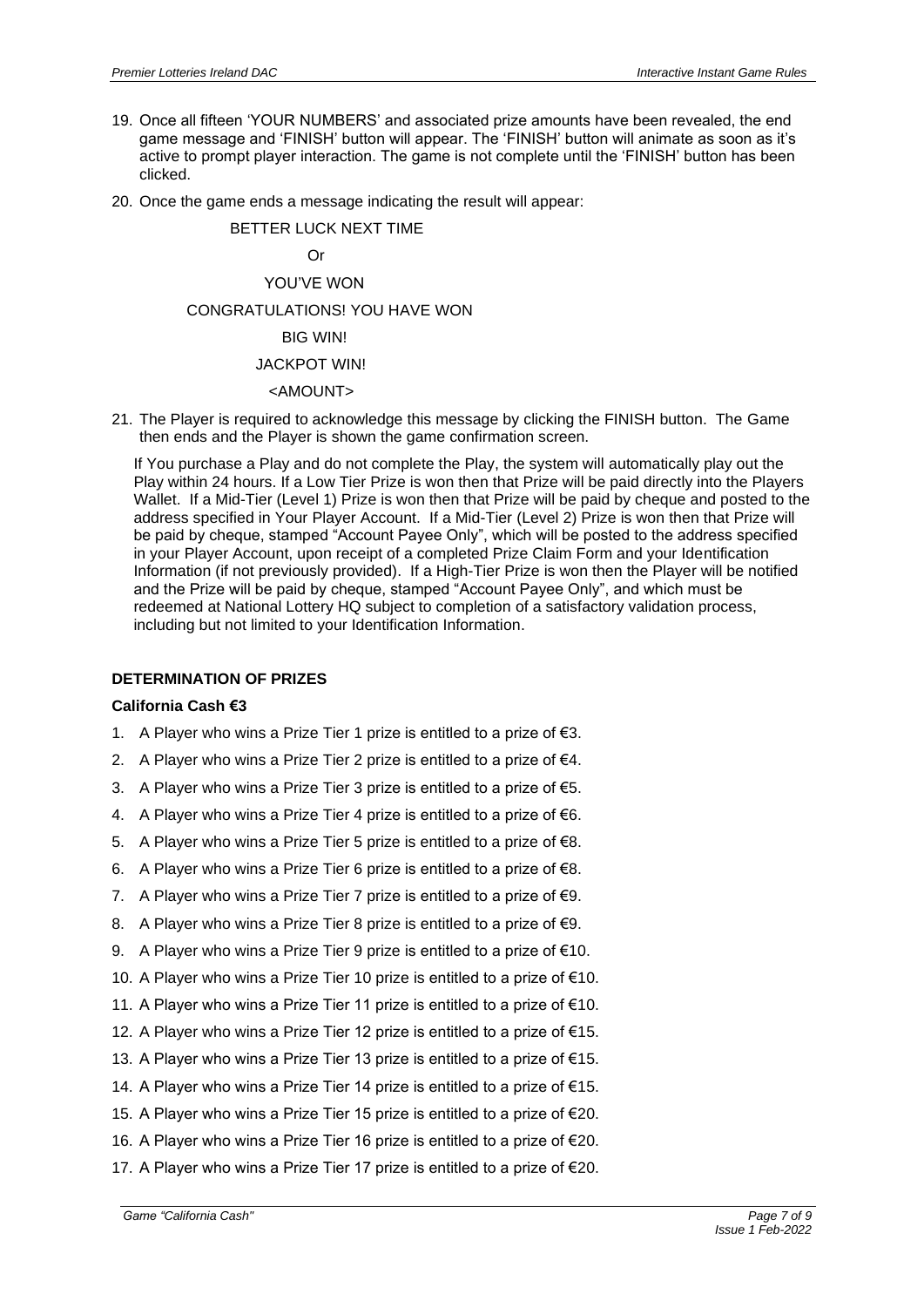- 19. Once all fifteen 'YOUR NUMBERS' and associated prize amounts have been revealed, the end game message and 'FINISH' button will appear. The 'FINISH' button will animate as soon as it's active to prompt player interaction. The game is not complete until the 'FINISH' button has been clicked.
- 20. Once the game ends a message indicating the result will appear:

#### BETTER LUCK NEXT TIME

#### **Original**

# YOU'VE WON

#### CONGRATULATIONS! YOU HAVE WON

### BIG WIN!

#### JACKPOT WIN!

#### <AMOUNT>

21. The Player is required to acknowledge this message by clicking the FINISH button. The Game then ends and the Player is shown the game confirmation screen.

If You purchase a Play and do not complete the Play, the system will automatically play out the Play within 24 hours. If a Low Tier Prize is won then that Prize will be paid directly into the Players Wallet. If a Mid-Tier (Level 1) Prize is won then that Prize will be paid by cheque and posted to the address specified in Your Player Account. If a Mid-Tier (Level 2) Prize is won then that Prize will be paid by cheque, stamped "Account Payee Only", which will be posted to the address specified in your Player Account, upon receipt of a completed Prize Claim Form and your Identification Information (if not previously provided). If a High-Tier Prize is won then the Player will be notified and the Prize will be paid by cheque, stamped "Account Payee Only", and which must be redeemed at National Lottery HQ subject to completion of a satisfactory validation process, including but not limited to your Identification Information.

#### **DETERMINATION OF PRIZES**

#### **California Cash €3**

- 1. A Player who wins a Prize Tier 1 prize is entitled to a prize of €3.
- 2. A Player who wins a Prize Tier 2 prize is entitled to a prize of  $\epsilon$ 4.
- 3. A Player who wins a Prize Tier 3 prize is entitled to a prize of  $65$ .
- 4. A Player who wins a Prize Tier 4 prize is entitled to a prize of  $\epsilon$ 6.
- 5. A Player who wins a Prize Tier 5 prize is entitled to a prize of €8.
- 6. A Player who wins a Prize Tier 6 prize is entitled to a prize of €8.
- 7. A Player who wins a Prize Tier 7 prize is entitled to a prize of  $\epsilon$ 9.
- 8. A Player who wins a Prize Tier 8 prize is entitled to a prize of  $\epsilon$ 9.
- 9. A Player who wins a Prize Tier 9 prize is entitled to a prize of €10.
- 10. A Player who wins a Prize Tier 10 prize is entitled to a prize of €10.
- 11. A Player who wins a Prize Tier 11 prize is entitled to a prize of €10.
- 12. A Player who wins a Prize Tier 12 prize is entitled to a prize of €15.
- 13. A Player who wins a Prize Tier 13 prize is entitled to a prize of €15.
- 14. A Player who wins a Prize Tier 14 prize is entitled to a prize of €15.
- 15. A Player who wins a Prize Tier 15 prize is entitled to a prize of €20.
- 16. A Player who wins a Prize Tier 16 prize is entitled to a prize of €20.
- 17. A Player who wins a Prize Tier 17 prize is entitled to a prize of €20.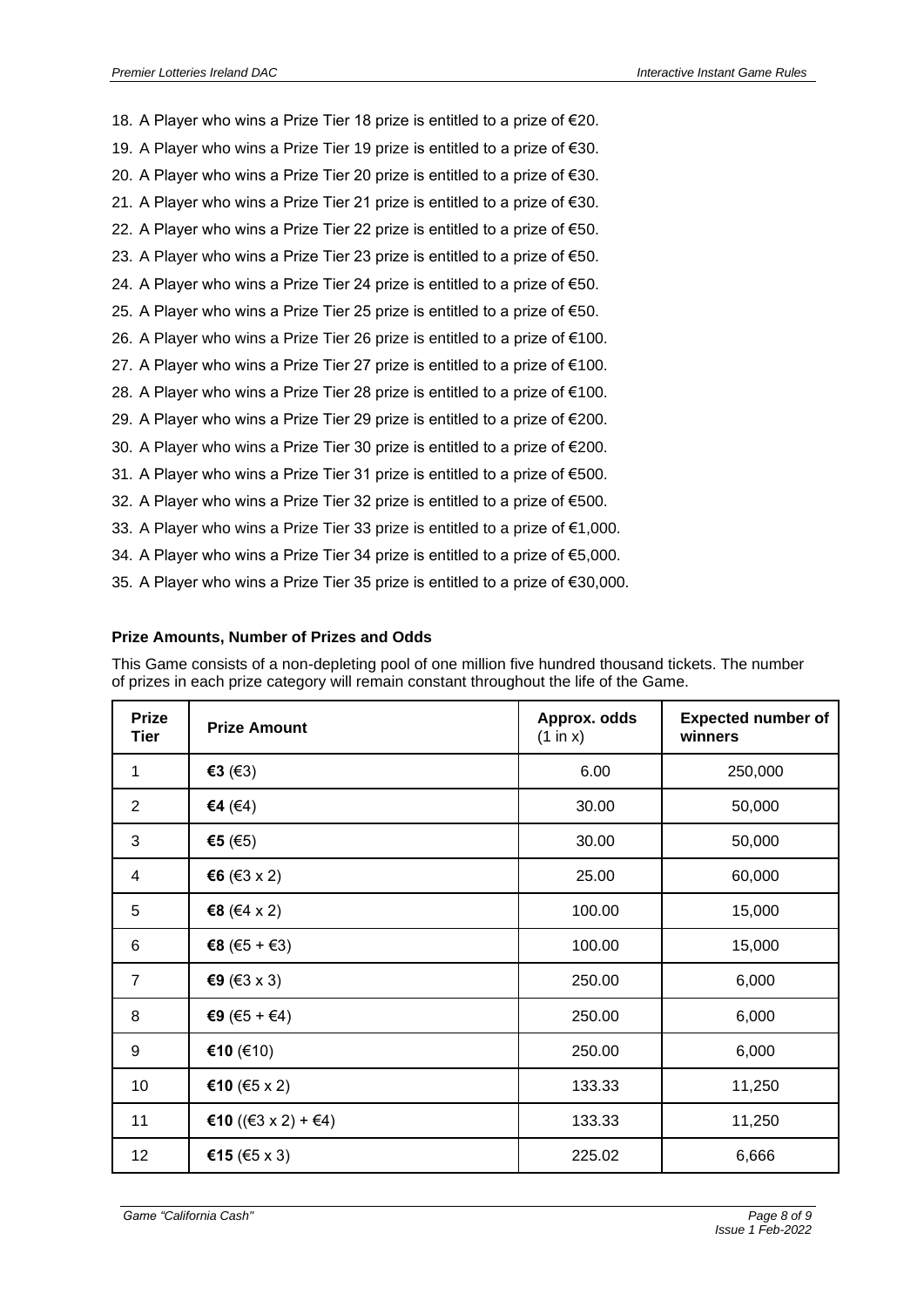- 18. A Player who wins a Prize Tier 18 prize is entitled to a prize of €20.
- 19. A Player who wins a Prize Tier 19 prize is entitled to a prize of €30.
- 20. A Player who wins a Prize Tier 20 prize is entitled to a prize of €30.
- 21. A Player who wins a Prize Tier 21 prize is entitled to a prize of €30.
- 22. A Player who wins a Prize Tier 22 prize is entitled to a prize of €50.
- 23. A Player who wins a Prize Tier 23 prize is entitled to a prize of €50. 24. A Player who wins a Prize Tier 24 prize is entitled to a prize of €50.
- 25. A Player who wins a Prize Tier 25 prize is entitled to a prize of €50.
- 26. A Player who wins a Prize Tier 26 prize is entitled to a prize of €100.
- 27. A Player who wins a Prize Tier 27 prize is entitled to a prize of €100.
- 28. A Player who wins a Prize Tier 28 prize is entitled to a prize of €100.
- 29. A Player who wins a Prize Tier 29 prize is entitled to a prize of €200.
- 30. A Player who wins a Prize Tier 30 prize is entitled to a prize of €200.
- 31. A Player who wins a Prize Tier 31 prize is entitled to a prize of €500.
- 32. A Player who wins a Prize Tier 32 prize is entitled to a prize of €500.
- 33. A Player who wins a Prize Tier 33 prize is entitled to a prize of €1,000.
- 34. A Player who wins a Prize Tier 34 prize is entitled to a prize of €5,000.
- 35. A Player who wins a Prize Tier 35 prize is entitled to a prize of €30,000.

# **Prize Amounts, Number of Prizes and Odds**

This Game consists of a non-depleting pool of one million five hundred thousand tickets. The number of prizes in each prize category will remain constant throughout the life of the Game.

| <b>Prize</b><br><b>Tier</b> | <b>Prize Amount</b> | Approx. odds<br>$(1 \text{ in } x)$ | <b>Expected number of</b><br>winners |
|-----------------------------|---------------------|-------------------------------------|--------------------------------------|
| 1                           | €3 (€3)             | 6.00                                | 250,000                              |
| $\overline{2}$              | €4 (€4)             | 30.00                               | 50,000                               |
| 3                           | €5 (€5)             | 30.00                               | 50,000                               |
| 4                           | €6 (€3 x 2)         | 25.00                               | 60,000                               |
| 5                           | €8 (€4 x 2)         | 100.00                              | 15,000                               |
| 6                           | €8 (€5 + €3)        | 100.00                              | 15,000                               |
| $\overline{7}$              | €9 (€3 x 3)         | 250.00                              | 6,000                                |
| 8                           | €9 (€5 + €4)        | 250.00                              | 6,000                                |
| 9                           | €10 (€10)           | 250.00                              | 6,000                                |
| 10                          | €10 (€5 x 2)        | 133.33                              | 11,250                               |
| 11                          | €10 ((€3 x 2) + €4) | 133.33                              | 11,250                               |
| 12                          | €15 (€5 x 3)        | 225.02                              | 6,666                                |